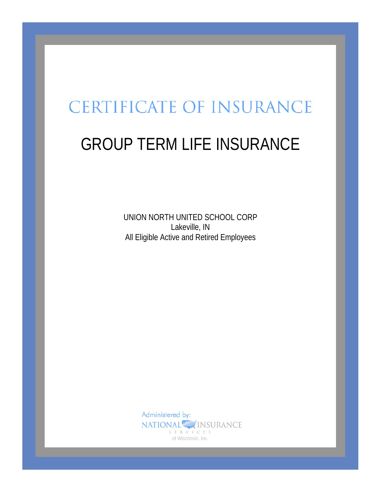# **CERTIFICATE OF INSURANCE**

# GROUP TERM LIFE INSURANCE

UNION NORTH UNITED SCHOOL CORP Lakeville, IN All Eligible Active and Retired Employees

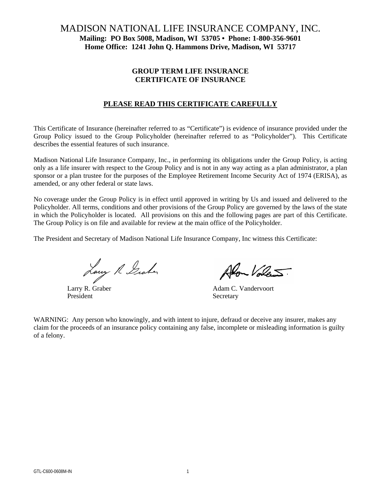# MADISON NATIONAL LIFE INSURANCE COMPANY, INC. **Mailing: PO Box 5008, Madison, WI 53705 • Phone: 1-800-356-9601 Home Office: 1241 John Q. Hammons Drive, Madison, WI 53717**

# **GROUP TERM LIFE INSURANCE CERTIFICATE OF INSURANCE**

# **PLEASE READ THIS CERTIFICATE CAREFULLY**

This Certificate of Insurance (hereinafter referred to as "Certificate") is evidence of insurance provided under the Group Policy issued to the Group Policyholder (hereinafter referred to as "Policyholder"). This Certificate describes the essential features of such insurance.

Madison National Life Insurance Company, Inc., in performing its obligations under the Group Policy, is acting only as a life insurer with respect to the Group Policy and is not in any way acting as a plan administrator, a plan sponsor or a plan trustee for the purposes of the Employee Retirement Income Security Act of 1974 (ERISA), as amended, or any other federal or state laws.

No coverage under the Group Policy is in effect until approved in writing by Us and issued and delivered to the Policyholder. All terms, conditions and other provisions of the Group Policy are governed by the laws of the state in which the Policyholder is located. All provisions on this and the following pages are part of this Certificate. The Group Policy is on file and available for review at the main office of the Policyholder.

The President and Secretary of Madison National Life Insurance Company, Inc witness this Certificate:

Larry R. Graber Alon Volen

President Secretary

Alon Volent

WARNING: Any person who knowingly, and with intent to injure, defraud or deceive any insurer, makes any claim for the proceeds of an insurance policy containing any false, incomplete or misleading information is guilty of a felony.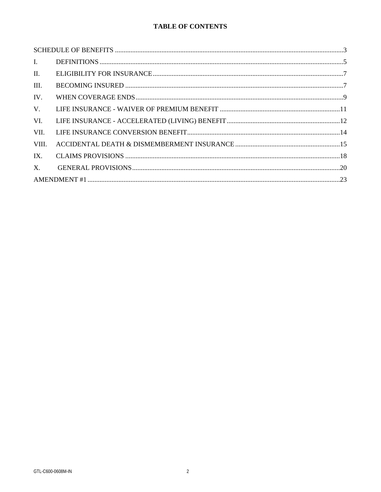# TABLE OF CONTENTS

| $\mathbf{I}$ . |  |  |
|----------------|--|--|
| $\Pi$ .        |  |  |
| III.           |  |  |
| IV.            |  |  |
| $V_{\cdot}$    |  |  |
| VI.            |  |  |
| VII.           |  |  |
| VIII.          |  |  |
| IX.            |  |  |
| $X_{\cdot}$    |  |  |
|                |  |  |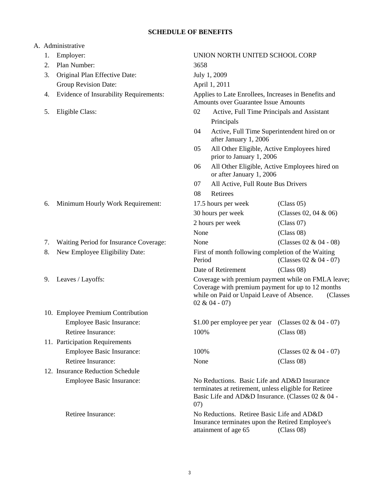# **SCHEDULE OF BENEFITS**

# A. Administrative

| 1. | Employer:                              | UNION NORTH UNITED SCHOOL CORP                                                                                                                                     |                                                                                                                                                                                                                                          |                                                                                                                      |
|----|----------------------------------------|--------------------------------------------------------------------------------------------------------------------------------------------------------------------|------------------------------------------------------------------------------------------------------------------------------------------------------------------------------------------------------------------------------------------|----------------------------------------------------------------------------------------------------------------------|
| 2. | Plan Number:                           | 3658                                                                                                                                                               |                                                                                                                                                                                                                                          |                                                                                                                      |
| 3. | Original Plan Effective Date:          |                                                                                                                                                                    | July 1, 2009                                                                                                                                                                                                                             |                                                                                                                      |
|    | Group Revision Date:                   |                                                                                                                                                                    | April 1, 2011                                                                                                                                                                                                                            |                                                                                                                      |
| 4. | Evidence of Insurability Requirements: | Applies to Late Enrollees, Increases in Benefits and<br><b>Amounts over Guarantee Issue Amounts</b>                                                                |                                                                                                                                                                                                                                          |                                                                                                                      |
| 5. | Eligible Class:                        | 02<br>Active, Full Time Principals and Assistant                                                                                                                   |                                                                                                                                                                                                                                          |                                                                                                                      |
|    |                                        |                                                                                                                                                                    | Principals                                                                                                                                                                                                                               |                                                                                                                      |
|    |                                        | 04                                                                                                                                                                 | Active, Full Time Superintendent hired on or<br>after January 1, 2006<br>05<br>All Other Eligible, Active Employees hired<br>prior to January 1, 2006<br>All Other Eligible, Active Employees hired on<br>06<br>or after January 1, 2006 |                                                                                                                      |
|    |                                        |                                                                                                                                                                    |                                                                                                                                                                                                                                          |                                                                                                                      |
|    |                                        |                                                                                                                                                                    |                                                                                                                                                                                                                                          |                                                                                                                      |
|    |                                        | 07                                                                                                                                                                 | All Active, Full Route Bus Drivers                                                                                                                                                                                                       |                                                                                                                      |
|    |                                        | 08                                                                                                                                                                 | Retirees                                                                                                                                                                                                                                 |                                                                                                                      |
| 6. | Minimum Hourly Work Requirement:       |                                                                                                                                                                    | 17.5 hours per week                                                                                                                                                                                                                      | (Class 05)                                                                                                           |
|    |                                        |                                                                                                                                                                    | 30 hours per week                                                                                                                                                                                                                        | (Classes 02, 04 & 06)                                                                                                |
|    |                                        |                                                                                                                                                                    | 2 hours per week                                                                                                                                                                                                                         | (Class 07)                                                                                                           |
|    |                                        | None                                                                                                                                                               |                                                                                                                                                                                                                                          | (Class 08)                                                                                                           |
| 7. | Waiting Period for Insurance Coverage: | None                                                                                                                                                               |                                                                                                                                                                                                                                          | (Classes 02 & 04 - 08)                                                                                               |
| 8. | New Employee Eligibility Date:         | Period                                                                                                                                                             | First of month following completion of the Waiting                                                                                                                                                                                       | (Classes 02 & 04 - 07)                                                                                               |
|    |                                        |                                                                                                                                                                    | Date of Retirement                                                                                                                                                                                                                       | (Class 08)                                                                                                           |
| 9. | Leaves / Layoffs:                      |                                                                                                                                                                    | while on Paid or Unpaid Leave of Absence.<br>$02 & 04 - 07$                                                                                                                                                                              | Coverage with premium payment while on FMLA leave;<br>Coverage with premium payment for up to 12 months<br>(Classes) |
|    | 10. Employee Premium Contribution      |                                                                                                                                                                    |                                                                                                                                                                                                                                          |                                                                                                                      |
|    | <b>Employee Basic Insurance:</b>       |                                                                                                                                                                    | \$1.00 per employee per year (Classes $02 \& 04 - 07$ )                                                                                                                                                                                  |                                                                                                                      |
|    | Retiree Insurance:                     | 100%                                                                                                                                                               |                                                                                                                                                                                                                                          | (Class 08)                                                                                                           |
|    | 11. Participation Requirements         |                                                                                                                                                                    |                                                                                                                                                                                                                                          |                                                                                                                      |
|    | <b>Employee Basic Insurance:</b>       | 100%                                                                                                                                                               |                                                                                                                                                                                                                                          | (Classes 02 & 04 - 07)                                                                                               |
|    | Retiree Insurance:                     | None                                                                                                                                                               |                                                                                                                                                                                                                                          | (Class 08)                                                                                                           |
|    | 12. Insurance Reduction Schedule       |                                                                                                                                                                    |                                                                                                                                                                                                                                          |                                                                                                                      |
|    | Employee Basic Insurance:              | No Reductions. Basic Life and AD&D Insurance<br>terminates at retirement, unless eligible for Retiree<br>Basic Life and AD&D Insurance. (Classes 02 & 04 -<br>(07) |                                                                                                                                                                                                                                          |                                                                                                                      |
|    | Retiree Insurance:                     |                                                                                                                                                                    | No Reductions. Retiree Basic Life and AD&D<br>Insurance terminates upon the Retired Employee's<br>attainment of age 65                                                                                                                   | (Class 08)                                                                                                           |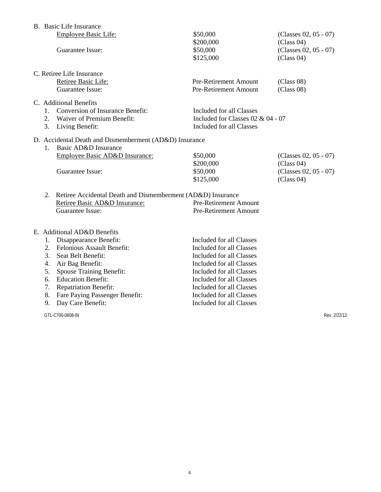|                          | B. Basic Life Insurance                                                                                                   |                                                                                             |                                     |
|--------------------------|---------------------------------------------------------------------------------------------------------------------------|---------------------------------------------------------------------------------------------|-------------------------------------|
|                          | <b>Employee Basic Life:</b>                                                                                               | \$50,000<br>\$200,000                                                                       | (Classes 02, 05 - 07)<br>(Class 04) |
|                          | Guarantee Issue:                                                                                                          | \$50,000<br>\$125,000                                                                       | (Classes 02, 05 - 07)<br>(Class 04) |
|                          | C. Retiree Life Insurance                                                                                                 |                                                                                             |                                     |
|                          | Retiree Basic Life:<br>Guarantee Issue:                                                                                   | <b>Pre-Retirement Amount</b><br>Pre-Retirement Amount                                       | (Class 08)<br>(Class 08)            |
| $\mathbf{1}$<br>2.<br>3. | C. Additional Benefits<br><b>Conversion of Insurance Benefit:</b><br><b>Waiver of Premium Benefit:</b><br>Living Benefit: | Included for all Classes<br>Included for Classes $02 & 04 - 07$<br>Included for all Classes |                                     |
| $\mathbf{1}$             | D. Accidental Death and Dismemberment (AD&D) Insurance<br>Basic AD&D Insurance                                            |                                                                                             |                                     |
|                          | Employee Basic AD&D Insurance:<br>Guarantee Issue:                                                                        | \$50,000<br>\$200,000                                                                       | (Classes 02, 05 - 07)<br>(Class 04) |
|                          |                                                                                                                           | \$50,000<br>\$125,000                                                                       | (Classes 02, 05 - 07)<br>(Class 04) |
| 2.                       | Retiree Accidental Death and Dismemberment (AD&D) Insurance                                                               |                                                                                             |                                     |
|                          | Retiree Basic AD&D Insurance:<br>Guarantee Issue:                                                                         | <b>Pre-Retirement Amount</b><br><b>Pre-Retirement Amount</b>                                |                                     |
|                          | $F$ Additional $\Delta D\&D$ Renefits                                                                                     |                                                                                             |                                     |

#### E. Additional AD&D Benefits

| 1. Disappearance Benefit:         | <b>Included for all Classes</b> |
|-----------------------------------|---------------------------------|
| 2. Felonious Assault Benefit:     | Included for all Classes        |
| 3. Seat Belt Benefit:             | Included for all Classes        |
| 4. Air Bag Benefit:               | Included for all Classes        |
| 5. Spouse Training Benefit:       | Included for all Classes        |
| 6. Education Benefit:             | Included for all Classes        |
| 7. Repatriation Benefit:          | Included for all Classes        |
| 8. Fare Paying Passenger Benefit: | Included for all Classes        |
| 9. Day Care Benefit:              | Included for all Classes        |

GTL-C700-0608-IN Rev. 2/22/12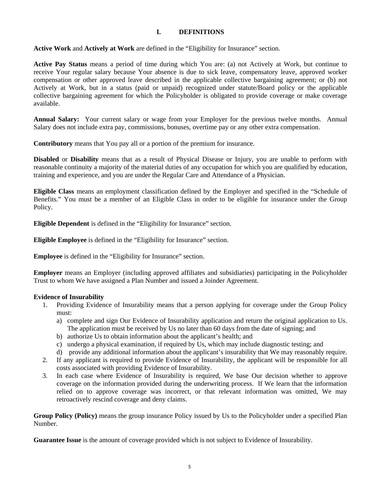# **I. DEFINITIONS**

**Active Work** and **Actively at Work** are defined in the "Eligibility for Insurance" section.

**Active Pay Status** means a period of time during which You are: (a) not Actively at Work, but continue to receive Your regular salary because Your absence is due to sick leave, compensatory leave, approved worker compensation or other approved leave described in the applicable collective bargaining agreement; or (b) not Actively at Work, but in a status (paid or unpaid) recognized under statute/Board policy or the applicable collective bargaining agreement for which the Policyholder is obligated to provide coverage or make coverage available.

**Annual Salary:** Your current salary or wage from your Employer for the previous twelve months. Annual Salary does not include extra pay, commissions, bonuses, overtime pay or any other extra compensation.

**Contributory** means that You pay all or a portion of the premium for insurance.

**Disabled** or **Disability** means that as a result of Physical Disease or Injury, you are unable to perform with reasonable continuity a majority of the material duties of any occupation for which you are qualified by education, training and experience, and you are under the Regular Care and Attendance of a Physician.

**Eligible Class** means an employment classification defined by the Employer and specified in the "Schedule of Benefits." You must be a member of an Eligible Class in order to be eligible for insurance under the Group Policy.

**Eligible Dependent** is defined in the "Eligibility for Insurance" section.

**Eligible Employee** is defined in the "Eligibility for Insurance" section.

**Employee** is defined in the "Eligibility for Insurance" section.

**Employer** means an Employer (including approved affiliates and subsidiaries) participating in the Policyholder Trust to whom We have assigned a Plan Number and issued a Joinder Agreement.

### **Evidence of Insurability**

- 1. Providing Evidence of Insurability means that a person applying for coverage under the Group Policy must:
	- a) complete and sign Our Evidence of Insurability application and return the original application to Us. The application must be received by Us no later than 60 days from the date of signing; and
	- b) authorize Us to obtain information about the applicant's health; and
	- c) undergo a physical examination, if required by Us, which may include diagnostic testing; and
	- d) provide any additional information about the applicant's insurability that We may reasonably require.
- 2. If any applicant is required to provide Evidence of Insurability, the applicant will be responsible for all costs associated with providing Evidence of Insurability.
- 3. In each case where Evidence of Insurability is required, We base Our decision whether to approve coverage on the information provided during the underwriting process. If We learn that the information relied on to approve coverage was incorrect, or that relevant information was omitted, We may retroactively rescind coverage and deny claims.

**Group Policy (Policy)** means the group insurance Policy issued by Us to the Policyholder under a specified Plan Number.

**Guarantee Issue** is the amount of coverage provided which is not subject to Evidence of Insurability.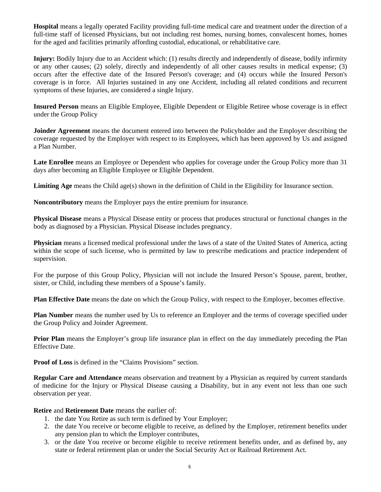**Hospital** means a legally operated Facility providing full-time medical care and treatment under the direction of a full-time staff of licensed Physicians, but not including rest homes, nursing homes, convalescent homes, homes for the aged and facilities primarily affording custodial, educational, or rehabilitative care.

**Injury:** Bodily Injury due to an Accident which: (1) results directly and independently of disease, bodily infirmity or any other causes; (2) solely, directly and independently of all other causes results in medical expense; (3) occurs after the effective date of the Insured Person's coverage; and (4) occurs while the Insured Person's coverage is in force. All Injuries sustained in any one Accident, including all related conditions and recurrent symptoms of these Injuries, are considered a single Injury.

**Insured Person** means an Eligible Employee, Eligible Dependent or Eligible Retiree whose coverage is in effect under the Group Policy

**Joinder Agreement** means the document entered into between the Policyholder and the Employer describing the coverage requested by the Employer with respect to its Employees, which has been approved by Us and assigned a Plan Number.

**Late Enrollee** means an Employee or Dependent who applies for coverage under the Group Policy more than 31 days after becoming an Eligible Employee or Eligible Dependent.

**Limiting Age** means the Child age(s) shown in the definition of Child in the Eligibility for Insurance section.

**Noncontributory** means the Employer pays the entire premium for insurance.

**Physical Disease** means a Physical Disease entity or process that produces structural or functional changes in the body as diagnosed by a Physician. Physical Disease includes pregnancy.

**Physician** means a licensed medical professional under the laws of a state of the United States of America, acting within the scope of such license, who is permitted by law to prescribe medications and practice independent of supervision.

For the purpose of this Group Policy, Physician will not include the Insured Person's Spouse, parent, brother, sister, or Child, including these members of a Spouse's family.

**Plan Effective Date** means the date on which the Group Policy, with respect to the Employer, becomes effective.

**Plan Number** means the number used by Us to reference an Employer and the terms of coverage specified under the Group Policy and Joinder Agreement.

**Prior Plan** means the Employer's group life insurance plan in effect on the day immediately preceding the Plan Effective Date.

**Proof of Loss** is defined in the "Claims Provisions" section.

**Regular Care and Attendance** means observation and treatment by a Physician as required by current standards of medicine for the Injury or Physical Disease causing a Disability, but in any event not less than one such observation per year.

**Retire** and **Retirement Date** means the earlier of:

- 1. the date You Retire as such term is defined by Your Employer;
- 2. the date You receive or become eligible to receive, as defined by the Employer, retirement benefits under any pension plan to which the Employer contributes,
- 3. or the date You receive or become eligible to receive retirement benefits under, and as defined by, any state or federal retirement plan or under the Social Security Act or Railroad Retirement Act.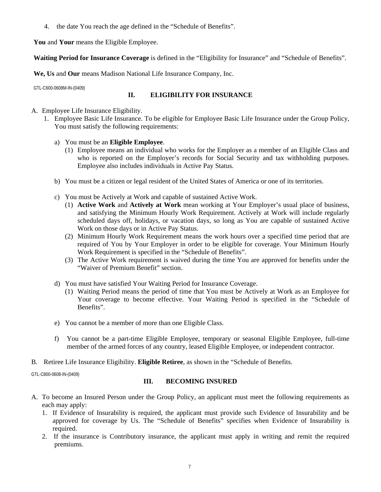4. the date You reach the age defined in the "Schedule of Benefits".

**You** and **Your** means the Eligible Employee.

**Waiting Period for Insurance Coverage** is defined in the "Eligibility for Insurance" and "Schedule of Benefits".

**We, Us** and **Our** means Madison National Life Insurance Company, Inc.

GTL-C600-0608M-IN-(0409)

# **II. ELIGIBILITY FOR INSURANCE**

# A. Employee Life Insurance Eligibility.

- 1. Employee Basic Life Insurance. To be eligible for Employee Basic Life Insurance under the Group Policy, You must satisfy the following requirements:
	- a) You must be an **Eligible Employee**.
		- (1) Employee means an individual who works for the Employer as a member of an Eligible Class and who is reported on the Employer's records for Social Security and tax withholding purposes. Employee also includes individuals in Active Pay Status.
	- b) You must be a citizen or legal resident of the United States of America or one of its territories.
	- c) You must be Actively at Work and capable of sustained Active Work.
		- (1) **Active Work** and **Actively at Work** mean working at Your Employer's usual place of business, and satisfying the Minimum Hourly Work Requirement. Actively at Work will include regularly scheduled days off, holidays, or vacation days, so long as You are capable of sustained Active Work on those days or in Active Pay Status.
		- (2) Minimum Hourly Work Requirement means the work hours over a specified time period that are required of You by Your Employer in order to be eligible for coverage. Your Minimum Hourly Work Requirement is specified in the "Schedule of Benefits".
		- (3) The Active Work requirement is waived during the time You are approved for benefits under the "Waiver of Premium Benefit" section.
	- d) You must have satisfied Your Waiting Period for Insurance Coverage.
		- (1) Waiting Period means the period of time that You must be Actively at Work as an Employee for Your coverage to become effective. Your Waiting Period is specified in the "Schedule of Benefits".
	- e) You cannot be a member of more than one Eligible Class.
	- f) You cannot be a part-time Eligible Employee, temporary or seasonal Eligible Employee, full-time member of the armed forces of any country, leased Eligible Employee, or independent contractor.
- B. Retiree Life Insurance Eligibility. **Eligible Retiree**, as shown in the "Schedule of Benefits.

GTL-C800-0608-IN-(0409)

### **III. BECOMING INSURED**

- A. To become an Insured Person under the Group Policy, an applicant must meet the following requirements as each may apply:
	- 1. If Evidence of Insurability is required, the applicant must provide such Evidence of Insurability and be approved for coverage by Us. The "Schedule of Benefits" specifies when Evidence of Insurability is required.
	- 2. If the insurance is Contributory insurance, the applicant must apply in writing and remit the required premiums.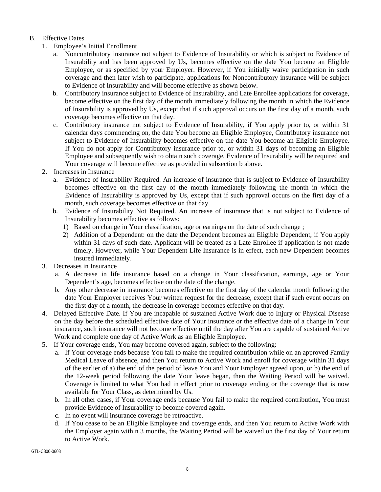# B. Effective Dates

- 1. Employee's Initial Enrollment
	- a. Noncontributory insurance not subject to Evidence of Insurability or which is subject to Evidence of Insurability and has been approved by Us, becomes effective on the date You become an Eligible Employee, or as specified by your Employer. However, if You initially waive participation in such coverage and then later wish to participate, applications for Noncontributory insurance will be subject to Evidence of Insurability and will become effective as shown below.
	- b. Contributory insurance subject to Evidence of Insurability, and Late Enrollee applications for coverage, become effective on the first day of the month immediately following the month in which the Evidence of Insurability is approved by Us, except that if such approval occurs on the first day of a month, such coverage becomes effective on that day.
	- c. Contributory insurance not subject to Evidence of Insurability, if You apply prior to, or within 31 calendar days commencing on, the date You become an Eligible Employee, Contributory insurance not subject to Evidence of Insurability becomes effective on the date You become an Eligible Employee. If You do not apply for Contributory insurance prior to, or within 31 days of becoming an Eligible Employee and subsequently wish to obtain such coverage, Evidence of Insurability will be required and Your coverage will become effective as provided in subsection b above.
- 2. Increases in Insurance
	- a. Evidence of Insurability Required. An increase of insurance that is subject to Evidence of Insurability becomes effective on the first day of the month immediately following the month in which the Evidence of Insurability is approved by Us, except that if such approval occurs on the first day of a month, such coverage becomes effective on that day.
	- b. Evidence of Insurability Not Required. An increase of insurance that is not subject to Evidence of Insurability becomes effective as follows:
		- 1) Based on change in Your classification, age or earnings on the date of such change ;
		- 2) Addition of a Dependent: on the date the Dependent becomes an Eligible Dependent, if You apply within 31 days of such date. Applicant will be treated as a Late Enrollee if application is not made timely. However, while Your Dependent Life Insurance is in effect, each new Dependent becomes insured immediately.
- 3. Decreases in Insurance
	- a. A decrease in life insurance based on a change in Your classification, earnings, age or Your Dependent's age, becomes effective on the date of the change.
	- b. Any other decrease in insurance becomes effective on the first day of the calendar month following the date Your Employer receives Your written request for the decrease, except that if such event occurs on the first day of a month, the decrease in coverage becomes effective on that day.
- 4. Delayed Effective Date. If You are incapable of sustained Active Work due to Injury or Physical Disease on the day before the scheduled effective date of Your insurance or the effective date of a change in Your insurance, such insurance will not become effective until the day after You are capable of sustained Active Work and complete one day of Active Work as an Eligible Employee.
- 5. If Your coverage ends, You may become covered again, subject to the following:
	- a. If Your coverage ends because You fail to make the required contribution while on an approved Family Medical Leave of absence, and then You return to Active Work and enroll for coverage within 31 days of the earlier of a) the end of the period of leave You and Your Employer agreed upon, or b) the end of the 12-week period following the date Your leave began, then the Waiting Period will be waived. Coverage is limited to what You had in effect prior to coverage ending or the coverage that is now available for Your Class, as determined by Us.
	- b. In all other cases, if Your coverage ends because You fail to make the required contribution, You must provide Evidence of Insurability to become covered again.
	- c. In no event will insurance coverage be retroactive.
	- d. If You cease to be an Eligible Employee and coverage ends, and then You return to Active Work with the Employer again within 3 months, the Waiting Period will be waived on the first day of Your return to Active Work.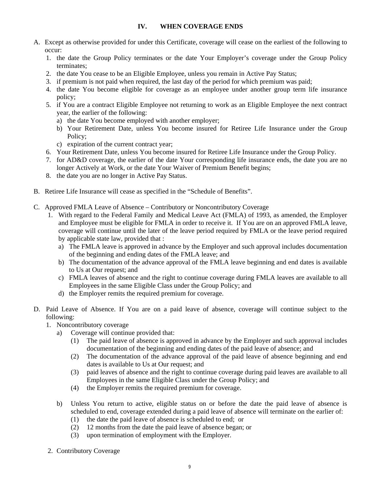# **IV. WHEN COVERAGE ENDS**

- A. Except as otherwise provided for under this Certificate, coverage will cease on the earliest of the following to occur:
	- 1. the date the Group Policy terminates or the date Your Employer's coverage under the Group Policy terminates;
	- 2. the date You cease to be an Eligible Employee, unless you remain in Active Pay Status;
	- 3. if premium is not paid when required, the last day of the period for which premium was paid;
	- 4. the date You become eligible for coverage as an employee under another group term life insurance policy;
	- 5. if You are a contract Eligible Employee not returning to work as an Eligible Employee the next contract year, the earlier of the following:
		- a) the date You become employed with another employer;
		- b) Your Retirement Date, unless You become insured for Retiree Life Insurance under the Group Policy;
		- c) expiration of the current contract year;
	- 6. Your Retirement Date, unless You become insured for Retiree Life Insurance under the Group Policy.
	- 7. for AD&D coverage, the earlier of the date Your corresponding life insurance ends, the date you are no longer Actively at Work, or the date Your Waiver of Premium Benefit begins;
	- 8. the date you are no longer in Active Pay Status.
- B. Retiree Life Insurance will cease as specified in the "Schedule of Benefits".
- C. Approved FMLA Leave of Absence Contributory or Noncontributory Coverage
	- 1. With regard to the Federal Family and Medical Leave Act (FMLA) of 1993, as amended, the Employer and Employee must be eligible for FMLA in order to receive it. If You are on an approved FMLA leave, coverage will continue until the later of the leave period required by FMLA or the leave period required by applicable state law, provided that :
		- a) The FMLA leave is approved in advance by the Employer and such approval includes documentation of the beginning and ending dates of the FMLA leave; and
		- b) The documentation of the advance approval of the FMLA leave beginning and end dates is available to Us at Our request; and
		- c) FMLA leaves of absence and the right to continue coverage during FMLA leaves are available to all Employees in the same Eligible Class under the Group Policy; and
		- d) the Employer remits the required premium for coverage.
- D. Paid Leave of Absence. If You are on a paid leave of absence, coverage will continue subject to the following:
	- 1. Noncontributory coverage
		- a) Coverage will continue provided that:
			- (1) The paid leave of absence is approved in advance by the Employer and such approval includes documentation of the beginning and ending dates of the paid leave of absence; and
			- (2) The documentation of the advance approval of the paid leave of absence beginning and end dates is available to Us at Our request; and
			- (3) paid leaves of absence and the right to continue coverage during paid leaves are available to all Employees in the same Eligible Class under the Group Policy; and
			- (4) the Employer remits the required premium for coverage.
		- b) Unless You return to active, eligible status on or before the date the paid leave of absence is scheduled to end, coverage extended during a paid leave of absence will terminate on the earlier of:
			- (1) the date the paid leave of absence is scheduled to end; or
			- (2) 12 months from the date the paid leave of absence began; or
			- (3) upon termination of employment with the Employer.
	- 2. Contributory Coverage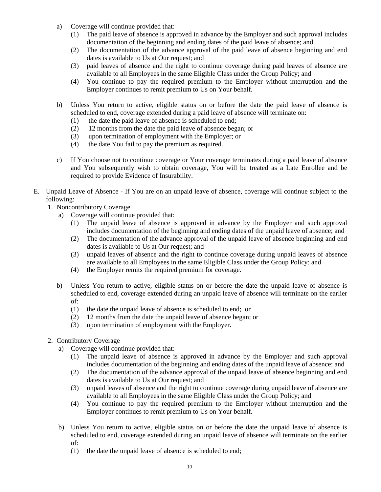- a) Coverage will continue provided that:
	- (1) The paid leave of absence is approved in advance by the Employer and such approval includes documentation of the beginning and ending dates of the paid leave of absence; and
	- (2) The documentation of the advance approval of the paid leave of absence beginning and end dates is available to Us at Our request; and
	- (3) paid leaves of absence and the right to continue coverage during paid leaves of absence are available to all Employees in the same Eligible Class under the Group Policy; and
	- (4) You continue to pay the required premium to the Employer without interruption and the Employer continues to remit premium to Us on Your behalf.
- b) Unless You return to active, eligible status on or before the date the paid leave of absence is scheduled to end, coverage extended during a paid leave of absence will terminate on:
	- (1) the date the paid leave of absence is scheduled to end;
	- (2) 12 months from the date the paid leave of absence began; or
	- (3) upon termination of employment with the Employer; or
	- (4) the date You fail to pay the premium as required.
- c) If You choose not to continue coverage or Your coverage terminates during a paid leave of absence and You subsequently wish to obtain coverage, You will be treated as a Late Enrollee and be required to provide Evidence of Insurability.
- E. Unpaid Leave of Absence If You are on an unpaid leave of absence, coverage will continue subject to the following:
	- 1. Noncontributory Coverage
		- a) Coverage will continue provided that:
			- (1) The unpaid leave of absence is approved in advance by the Employer and such approval includes documentation of the beginning and ending dates of the unpaid leave of absence; and
			- (2) The documentation of the advance approval of the unpaid leave of absence beginning and end dates is available to Us at Our request; and
			- (3) unpaid leaves of absence and the right to continue coverage during unpaid leaves of absence are available to all Employees in the same Eligible Class under the Group Policy; and
			- (4) the Employer remits the required premium for coverage.
		- b) Unless You return to active, eligible status on or before the date the unpaid leave of absence is scheduled to end, coverage extended during an unpaid leave of absence will terminate on the earlier of:
			- (1) the date the unpaid leave of absence is scheduled to end; or
			- (2) 12 months from the date the unpaid leave of absence began; or
			- (3) upon termination of employment with the Employer.
	- 2. Contributory Coverage
		- a) Coverage will continue provided that:
			- (1) The unpaid leave of absence is approved in advance by the Employer and such approval includes documentation of the beginning and ending dates of the unpaid leave of absence; and
			- (2) The documentation of the advance approval of the unpaid leave of absence beginning and end dates is available to Us at Our request; and
			- (3) unpaid leaves of absence and the right to continue coverage during unpaid leave of absence are available to all Employees in the same Eligible Class under the Group Policy; and
			- (4) You continue to pay the required premium to the Employer without interruption and the Employer continues to remit premium to Us on Your behalf.
		- b) Unless You return to active, eligible status on or before the date the unpaid leave of absence is scheduled to end, coverage extended during an unpaid leave of absence will terminate on the earlier of:
			- (1) the date the unpaid leave of absence is scheduled to end;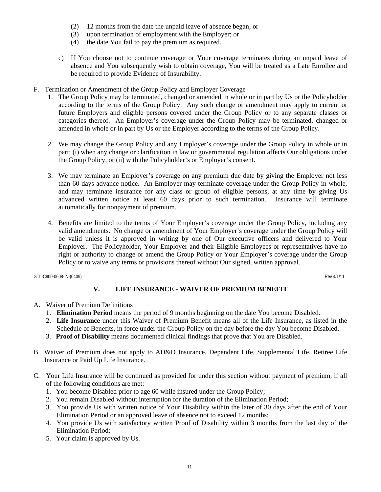- (2) 12 months from the date the unpaid leave of absence began; or
- (3) upon termination of employment with the Employer; or
- (4) the date You fail to pay the premium as required.
- c) If You choose not to continue coverage or Your coverage terminates during an unpaid leave of absence and You subsequently wish to obtain coverage, You will be treated as a Late Enrollee and be required to provide Evidence of Insurability.
- F. Termination or Amendment of the Group Policy and Employer Coverage
	- 1. The Group Policy may be terminated, changed or amended in whole or in part by Us or the Policyholder according to the terms of the Group Policy. Any such change or amendment may apply to current or future Employers and eligible persons covered under the Group Policy or to any separate classes or categories thereof. An Employer's coverage under the Group Policy may be terminated, changed or amended in whole or in part by Us or the Employer according to the terms of the Group Policy.
	- 2. We may change the Group Policy and any Employer's coverage under the Group Policy in whole or in part: (i) when any change or clarification in law or governmental regulation affects Our obligations under the Group Policy, or (ii) with the Policyholder's or Employer's consent.
	- 3. We may terminate an Employer's coverage on any premium due date by giving the Employer not less than 60 days advance notice. An Employer may terminate coverage under the Group Policy in whole, and may terminate insurance for any class or group of eligible persons, at any time by giving Us advanced written notice at least 60 days prior to such termination. Insurance will terminate automatically for nonpayment of premium.
	- 4. Benefits are limited to the terms of Your Employer's coverage under the Group Policy, including any valid amendments. No change or amendment of Your Employer's coverage under the Group Policy will be valid unless it is approved in writing by one of Our executive officers and delivered to Your Employer. The Policyholder, Your Employer and their Eligible Employees or representatives have no right or authority to change or amend the Group Policy or Your Employer's coverage under the Group Policy or to waive any terms or provisions thereof without Our signed, written approval.

GTL-C800-0608-IN-(0409) Rev 4/1/11

# **V. LIFE INSURANCE - WAIVER OF PREMIUM BENEFIT**

- A. Waiver of Premium Definitions
	- 1. **Elimination Period** means the period of 9 months beginning on the date You become Disabled.
	- 2. **Life Insurance** under this Waiver of Premium Benefit means all of the Life Insurance, as listed in the Schedule of Benefits, in force under the Group Policy on the day before the day You become Disabled.
	- 3. **Proof of Disability** means documented clinical findings that prove that You are Disabled.
- B. Waiver of Premium does not apply to AD&D Insurance, Dependent Life, Supplemental Life, Retiree Life Insurance or Paid Up Life Insurance.
- C. Your Life Insurance will be continued as provided for under this section without payment of premium, if all of the following conditions are met:
	- 1. You become Disabled prior to age 60 while insured under the Group Policy;
	- 2. You remain Disabled without interruption for the duration of the Elimination Period;
	- 3. You provide Us with written notice of Your Disability within the later of 30 days after the end of Your Elimination Period or an approved leave of absence not to exceed 12 months;
	- 4. You provide Us with satisfactory written Proof of Disability within 3 months from the last day of the Elimination Period;
	- 5. Your claim is approved by Us.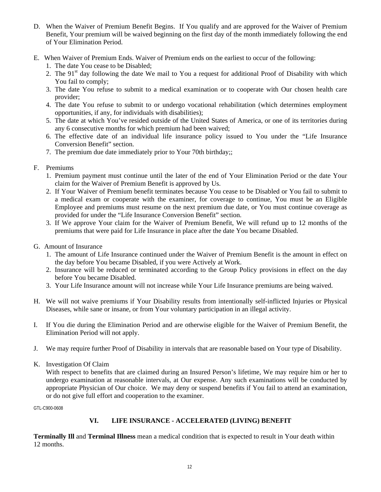- D. When the Waiver of Premium Benefit Begins. If You qualify and are approved for the Waiver of Premium Benefit, Your premium will be waived beginning on the first day of the month immediately following the end of Your Elimination Period.
- E. When Waiver of Premium Ends. Waiver of Premium ends on the earliest to occur of the following:
	- 1. The date You cease to be Disabled;
	- 2. The  $91<sup>st</sup>$  day following the date We mail to You a request for additional Proof of Disability with which You fail to comply;
	- 3. The date You refuse to submit to a medical examination or to cooperate with Our chosen health care provider;
	- 4. The date You refuse to submit to or undergo vocational rehabilitation (which determines employment opportunities, if any, for individuals with disabilities);
	- 5. The date at which You've resided outside of the United States of America, or one of its territories during any 6 consecutive months for which premium had been waived;
	- 6. The effective date of an individual life insurance policy issued to You under the "Life Insurance Conversion Benefit" section.
	- 7. The premium due date immediately prior to Your 70th birthday;;
- F. Premiums
	- 1. Premium payment must continue until the later of the end of Your Elimination Period or the date Your claim for the Waiver of Premium Benefit is approved by Us.
	- 2. If Your Waiver of Premium benefit terminates because You cease to be Disabled or You fail to submit to a medical exam or cooperate with the examiner, for coverage to continue, You must be an Eligible Employee and premiums must resume on the next premium due date, or You must continue coverage as provided for under the "Life Insurance Conversion Benefit" section.
	- 3. If We approve Your claim for the Waiver of Premium Benefit, We will refund up to 12 months of the premiums that were paid for Life Insurance in place after the date You became Disabled.
- G. Amount of Insurance
	- 1. The amount of Life Insurance continued under the Waiver of Premium Benefit is the amount in effect on the day before You became Disabled, if you were Actively at Work.
	- 2. Insurance will be reduced or terminated according to the Group Policy provisions in effect on the day before You became Disabled.
	- 3. Your Life Insurance amount will not increase while Your Life Insurance premiums are being waived.
- H. We will not waive premiums if Your Disability results from intentionally self-inflicted Injuries or Physical Diseases, while sane or insane, or from Your voluntary participation in an illegal activity.
- I. If You die during the Elimination Period and are otherwise eligible for the Waiver of Premium Benefit, the Elimination Period will not apply.
- J. We may require further Proof of Disability in intervals that are reasonable based on Your type of Disability.
- K. Investigation Of Claim

With respect to benefits that are claimed during an Insured Person's lifetime, We may require him or her to undergo examination at reasonable intervals, at Our expense. Any such examinations will be conducted by appropriate Physician of Our choice. We may deny or suspend benefits if You fail to attend an examination, or do not give full effort and cooperation to the examiner.

GTL-C900-0608

# **VI. LIFE INSURANCE - ACCELERATED (LIVING) BENEFIT**

**Terminally Ill** and **Terminal Illness** mean a medical condition that is expected to result in Your death within 12 months.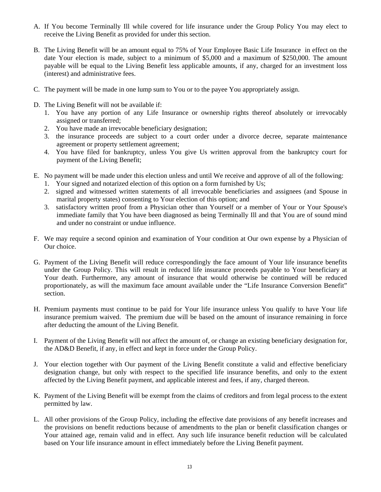- A. If You become Terminally Ill while covered for life insurance under the Group Policy You may elect to receive the Living Benefit as provided for under this section.
- B. The Living Benefit will be an amount equal to 75% of Your Employee Basic Life Insurance in effect on the date Your election is made, subject to a minimum of \$5,000 and a maximum of \$250,000. The amount payable will be equal to the Living Benefit less applicable amounts, if any, charged for an investment loss (interest) and administrative fees.
- C. The payment will be made in one lump sum to You or to the payee You appropriately assign.
- D. The Living Benefit will not be available if:
	- 1. You have any portion of any Life Insurance or ownership rights thereof absolutely or irrevocably assigned or transferred;
	- 2. You have made an irrevocable beneficiary designation;
	- 3. the insurance proceeds are subject to a court order under a divorce decree, separate maintenance agreement or property settlement agreement;
	- 4. You have filed for bankruptcy, unless You give Us written approval from the bankruptcy court for payment of the Living Benefit;
- E. No payment will be made under this election unless and until We receive and approve of all of the following:
	- 1. Your signed and notarized election of this option on a form furnished by Us;
	- 2. signed and witnessed written statements of all irrevocable beneficiaries and assignees (and Spouse in marital property states) consenting to Your election of this option; and
	- 3. satisfactory written proof from a Physician other than Yourself or a member of Your or Your Spouse's immediate family that You have been diagnosed as being Terminally Ill and that You are of sound mind and under no constraint or undue influence.
- F. We may require a second opinion and examination of Your condition at Our own expense by a Physician of Our choice.
- G. Payment of the Living Benefit will reduce correspondingly the face amount of Your life insurance benefits under the Group Policy. This will result in reduced life insurance proceeds payable to Your beneficiary at Your death. Furthermore, any amount of insurance that would otherwise be continued will be reduced proportionately, as will the maximum face amount available under the "Life Insurance Conversion Benefit" section.
- H. Premium payments must continue to be paid for Your life insurance unless You qualify to have Your life insurance premium waived. The premium due will be based on the amount of insurance remaining in force after deducting the amount of the Living Benefit.
- I. Payment of the Living Benefit will not affect the amount of, or change an existing beneficiary designation for, the AD&D Benefit, if any, in effect and kept in force under the Group Policy.
- J. Your election together with Our payment of the Living Benefit constitute a valid and effective beneficiary designation change, but only with respect to the specified life insurance benefits, and only to the extent affected by the Living Benefit payment, and applicable interest and fees, if any, charged thereon.
- K. Payment of the Living Benefit will be exempt from the claims of creditors and from legal process to the extent permitted by law.
- L. All other provisions of the Group Policy, including the effective date provisions of any benefit increases and the provisions on benefit reductions because of amendments to the plan or benefit classification changes or Your attained age, remain valid and in effect. Any such life insurance benefit reduction will be calculated based on Your life insurance amount in effect immediately before the Living Benefit payment.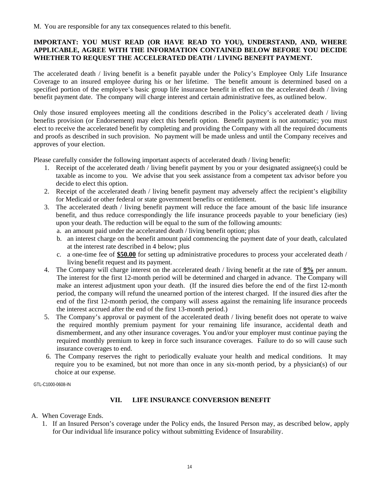# **IMPORTANT: YOU MUST READ (OR HAVE READ TO YOU), UNDERSTAND, AND, WHERE APPLICABLE, AGREE WITH THE INFORMATION CONTAINED BELOW BEFORE YOU DECIDE WHETHER TO REQUEST THE ACCELERATED DEATH / LIVING BENEFIT PAYMENT.**

The accelerated death / living benefit is a benefit payable under the Policy's Employee Only Life Insurance Coverage to an insured employee during his or her lifetime. The benefit amount is determined based on a specified portion of the employee's basic group life insurance benefit in effect on the accelerated death / living benefit payment date. The company will charge interest and certain administrative fees, as outlined below.

Only those insured employees meeting all the conditions described in the Policy's accelerated death / living benefits provision (or Endorsement) may elect this benefit option. Benefit payment is not automatic; you must elect to receive the accelerated benefit by completing and providing the Company with all the required documents and proofs as described in such provision. No payment will be made unless and until the Company receives and approves of your election.

Please carefully consider the following important aspects of accelerated death / living benefit:

- 1. Receipt of the accelerated death / living benefit payment by you or your designated assignee(s) could be taxable as income to you. We advise that you seek assistance from a competent tax advisor before you decide to elect this option.
- 2. Receipt of the accelerated death / living benefit payment may adversely affect the recipient's eligibility for Medicaid or other federal or state government benefits or entitlement.
- 3. The accelerated death / living benefit payment will reduce the face amount of the basic life insurance benefit, and thus reduce correspondingly the life insurance proceeds payable to your beneficiary (ies) upon your death. The reduction will be equal to the sum of the following amounts:
	- a. an amount paid under the accelerated death / living benefit option; plus
	- b. an interest charge on the benefit amount paid commencing the payment date of your death, calculated at the interest rate described in 4 below; plus
	- c. a one-time fee of **\$50.00** for setting up administrative procedures to process your accelerated death / living benefit request and its payment.
- 4. The Company will charge interest on the accelerated death / living benefit at the rate of **9%** per annum. The interest for the first 12-month period will be determined and charged in advance. The Company will make an interest adjustment upon your death. (If the insured dies before the end of the first 12-month period, the company will refund the unearned portion of the interest charged. If the insured dies after the end of the first 12-month period, the company will assess against the remaining life insurance proceeds the interest accrued after the end of the first 13-month period.)
- 5. The Company's approval or payment of the accelerated death / living benefit does not operate to waive the required monthly premium payment for your remaining life insurance, accidental death and dismemberment, and any other insurance coverages. You and/or your employer must continue paying the required monthly premium to keep in force such insurance coverages. Failure to do so will cause such insurance coverages to end.
- 6. The Company reserves the right to periodically evaluate your health and medical conditions. It may require you to be examined, but not more than once in any six-month period, by a physician(s) of our choice at our expense.

GTL-C1000-0608-IN

# **VII. LIFE INSURANCE CONVERSION BENEFIT**

- A. When Coverage Ends.
	- 1. If an Insured Person's coverage under the Policy ends, the Insured Person may, as described below, apply for Our individual life insurance policy without submitting Evidence of Insurability.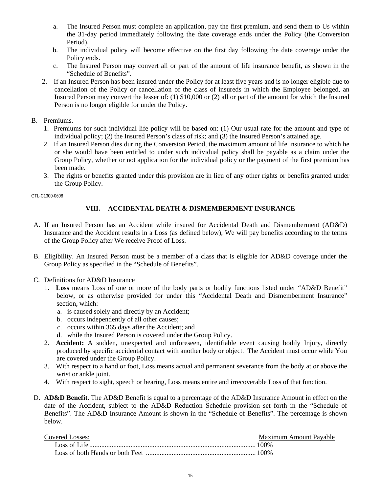- a. The Insured Person must complete an application, pay the first premium, and send them to Us within the 31-day period immediately following the date coverage ends under the Policy (the Conversion Period).
- b. The individual policy will become effective on the first day following the date coverage under the Policy ends.
- c. The Insured Person may convert all or part of the amount of life insurance benefit, as shown in the "Schedule of Benefits".
- 2. If an Insured Person has been insured under the Policy for at least five years and is no longer eligible due to cancellation of the Policy or cancellation of the class of insureds in which the Employee belonged, an Insured Person may convert the lesser of: (1) \$10,000 or (2) all or part of the amount for which the Insured Person is no longer eligible for under the Policy.
- B. Premiums.
	- 1. Premiums for such individual life policy will be based on: (1) Our usual rate for the amount and type of individual policy; (2) the Insured Person's class of risk; and (3) the Insured Person's attained age.
	- 2. If an Insured Person dies during the Conversion Period, the maximum amount of life insurance to which he or she would have been entitled to under such individual policy shall be payable as a claim under the Group Policy, whether or not application for the individual policy or the payment of the first premium has been made.
	- 3. The rights or benefits granted under this provision are in lieu of any other rights or benefits granted under the Group Policy.

GTL-C1300-0608

# **VIII. ACCIDENTAL DEATH & DISMEMBERMENT INSURANCE**

- A. If an Insured Person has an Accident while insured for Accidental Death and Dismemberment (AD&D) Insurance and the Accident results in a Loss (as defined below), We will pay benefits according to the terms of the Group Policy after We receive Proof of Loss.
- B. Eligibility. An Insured Person must be a member of a class that is eligible for AD&D coverage under the Group Policy as specified in the "Schedule of Benefits".
- C. Definitions for AD&D Insurance
	- 1. **Loss** means Loss of one or more of the body parts or bodily functions listed under "AD&D Benefit" below, or as otherwise provided for under this "Accidental Death and Dismemberment Insurance" section, which:
		- a. is caused solely and directly by an Accident;
		- b. occurs independently of all other causes;
		- c. occurs within 365 days after the Accident; and
		- d. while the Insured Person is covered under the Group Policy.
	- 2. **Accident:** A sudden, unexpected and unforeseen, identifiable event causing bodily Injury, directly produced by specific accidental contact with another body or object. The Accident must occur while You are covered under the Group Policy.
	- 3. With respect to a hand or foot, Loss means actual and permanent severance from the body at or above the wrist or ankle joint.
	- 4. With respect to sight, speech or hearing, Loss means entire and irrecoverable Loss of that function.
- D. **AD&D Benefit.** The AD&D Benefit is equal to a percentage of the AD&D Insurance Amount in effect on the date of the Accident, subject to the AD&D Reduction Schedule provision set forth in the "Schedule of Benefits". The AD&D Insurance Amount is shown in the "Schedule of Benefits". The percentage is shown below.

| Covered Losses: | Maximum Amount Pavable |
|-----------------|------------------------|
|                 |                        |
|                 |                        |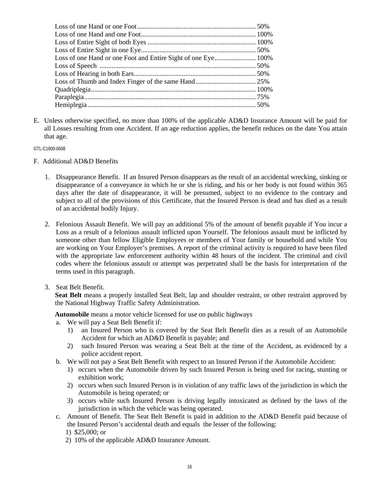E. Unless otherwise specified, no more than 100% of the applicable AD&D Insurance Amount will be paid for all Losses resulting from one Accident. If an age reduction applies, the benefit reduces on the date You attain that age.

GTL-C1600-0608

- F. Additional AD&D Benefits
	- 1. Disappearance Benefit. If an Insured Person disappears as the result of an accidental wrecking, sinking or disappearance of a conveyance in which he or she is riding, and his or her body is not found within 365 days after the date of disappearance, it will be presumed, subject to no evidence to the contrary and subject to all of the provisions of this Certificate, that the Insured Person is dead and has died as a result of an accidental bodily Injury.
	- 2. Felonious Assault Benefit. We will pay an additional 5% of the amount of benefit payable if You incur a Loss as a result of a felonious assault inflicted upon Yourself. The felonious assault must be inflicted by someone other than fellow Eligible Employees or members of Your family or household and while You are working on Your Employer's premises. A report of the criminal activity is required to have been filed with the appropriate law enforcement authority within 48 hours of the incident. The criminal and civil codes where the felonious assault or attempt was perpetrated shall be the basis for interpretation of the terms used in this paragraph.

### 3. Seat Belt Benefit.

**Seat Belt** means a properly installed Seat Belt, lap and shoulder restraint, or other restraint approved by the National Highway Traffic Safety Administration.

**Automobile** means a motor vehicle licensed for use on public highways

- a. We will pay a Seat Belt Benefit if:
	- 1) an Insured Person who is covered by the Seat Belt Benefit dies as a result of an Automobile Accident for which an AD&D Benefit is payable; and
	- 2) such Insured Person was wearing a Seat Belt at the time of the Accident, as evidenced by a police accident report.
- b. We will not pay a Seat Belt Benefit with respect to an Insured Person if the Automobile Accident:
	- 1) occurs when the Automobile driven by such Insured Person is being used for racing, stunting or exhibition work;
	- 2) occurs when such Insured Person is in violation of any traffic laws of the jurisdiction in which the Automobile is being operated; or
	- 3) occurs while such Insured Person is driving legally intoxicated as defined by the laws of the jurisdiction in which the vehicle was being operated.
- c. Amount of Benefit. The Seat Belt Benefit is paid in addition to the AD&D Benefit paid because of the Insured Person's accidental death and equals the lesser of the following:
	- 1) \$25,000; or
	- 2) 10% of the applicable AD&D Insurance Amount.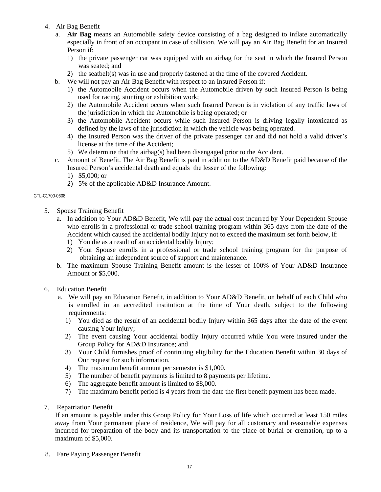- 4. Air Bag Benefit
	- a. **Air Bag** means an Automobile safety device consisting of a bag designed to inflate automatically especially in front of an occupant in case of collision. We will pay an Air Bag Benefit for an Insured Person if:
		- 1) the private passenger car was equipped with an airbag for the seat in which the Insured Person was seated; and
		- 2) the seatbelt(s) was in use and properly fastened at the time of the covered Accident.
	- b. We will not pay an Air Bag Benefit with respect to an Insured Person if:
		- 1) the Automobile Accident occurs when the Automobile driven by such Insured Person is being used for racing, stunting or exhibition work;
		- 2) the Automobile Accident occurs when such Insured Person is in violation of any traffic laws of the jurisdiction in which the Automobile is being operated; or
		- 3) the Automobile Accident occurs while such Insured Person is driving legally intoxicated as defined by the laws of the jurisdiction in which the vehicle was being operated.
		- 4) the Insured Person was the driver of the private passenger car and did not hold a valid driver's license at the time of the Accident;
		- 5) We determine that the airbag(s) had been disengaged prior to the Accident.
	- c. Amount of Benefit. The Air Bag Benefit is paid in addition to the AD&D Benefit paid because of the Insured Person's accidental death and equals the lesser of the following:
		- 1) \$5,000; or
		- 2) 5% of the applicable AD&D Insurance Amount.

#### GTL-C1700-0608

- 5. Spouse Training Benefit
	- a. In addition to Your AD&D Benefit, We will pay the actual cost incurred by Your Dependent Spouse who enrolls in a professional or trade school training program within 365 days from the date of the Accident which caused the accidental bodily Injury not to exceed the maximum set forth below, if:
		- 1) You die as a result of an accidental bodily Injury;
		- 2) Your Spouse enrolls in a professional or trade school training program for the purpose of obtaining an independent source of support and maintenance.
	- b. The maximum Spouse Training Benefit amount is the lesser of 100% of Your AD&D Insurance Amount or \$5,000.
- 6. Education Benefit
	- a. We will pay an Education Benefit, in addition to Your AD&D Benefit, on behalf of each Child who is enrolled in an accredited institution at the time of Your death, subject to the following requirements:
		- 1) You died as the result of an accidental bodily Injury within 365 days after the date of the event causing Your Injury;
		- 2) The event causing Your accidental bodily Injury occurred while You were insured under the Group Policy for AD&D Insurance; and
		- 3) Your Child furnishes proof of continuing eligibility for the Education Benefit within 30 days of Our request for such information.
		- 4) The maximum benefit amount per semester is \$1,000.
		- 5) The number of benefit payments is limited to 8 payments per lifetime.
		- 6) The aggregate benefit amount is limited to \$8,000.
		- 7) The maximum benefit period is 4 years from the date the first benefit payment has been made.
- 7. Repatriation Benefit

If an amount is payable under this Group Policy for Your Loss of life which occurred at least 150 miles away from Your permanent place of residence, We will pay for all customary and reasonable expenses incurred for preparation of the body and its transportation to the place of burial or cremation, up to a maximum of \$5,000.

8. Fare Paying Passenger Benefit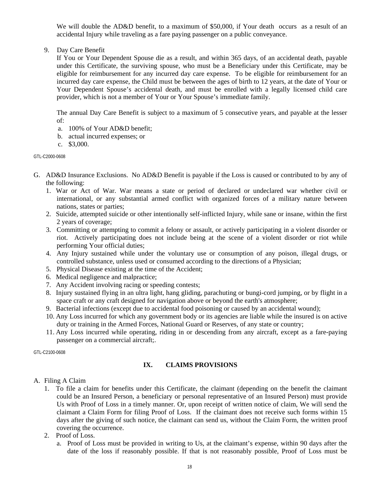We will double the AD&D benefit, to a maximum of \$50,000, if Your death occurs as a result of an accidental Injury while traveling as a fare paying passenger on a public conveyance.

9. Day Care Benefit

If You or Your Dependent Spouse die as a result, and within 365 days, of an accidental death, payable under this Certificate, the surviving spouse, who must be a Beneficiary under this Certificate, may be eligible for reimbursement for any incurred day care expense. To be eligible for reimbursement for an incurred day care expense, the Child must be between the ages of birth to 12 years, at the date of Your or Your Dependent Spouse's accidental death, and must be enrolled with a legally licensed child care provider, which is not a member of Your or Your Spouse's immediate family.

The annual Day Care Benefit is subject to a maximum of 5 consecutive years, and payable at the lesser of:

- a. 100% of Your AD&D benefit;
- b. actual incurred expenses; or
- c. \$3,000.

GTL-C2000-0608

- G. AD&D Insurance Exclusions. No AD&D Benefit is payable if the Loss is caused or contributed to by any of the following:
	- 1. War or Act of War. War means a state or period of declared or undeclared war whether civil or international, or any substantial armed conflict with organized forces of a military nature between nations, states or parties;
	- 2. Suicide, attempted suicide or other intentionally self-inflicted Injury, while sane or insane, within the first 2 years of coverage;
	- 3. Committing or attempting to commit a felony or assault, or actively participating in a violent disorder or riot. Actively participating does not include being at the scene of a violent disorder or riot while performing Your official duties;
	- 4. Any Injury sustained while under the voluntary use or consumption of any poison, illegal drugs, or controlled substance, unless used or consumed according to the directions of a Physician;
	- 5. Physical Disease existing at the time of the Accident;
	- 6. Medical negligence and malpractice;
	- 7. Any Accident involving racing or speeding contests;
	- 8. Injury sustained flying in an ultra light, hang gliding, parachuting or bungi-cord jumping, or by flight in a space craft or any craft designed for navigation above or beyond the earth's atmosphere;
	- 9. Bacterial infections (except due to accidental food poisoning or caused by an accidental wound);
	- 10. Any Loss incurred for which any government body or its agencies are liable while the insured is on active duty or training in the Armed Forces, National Guard or Reserves, of any state or country;
	- 11. Any Loss incurred while operating, riding in or descending from any aircraft, except as a fare-paying passenger on a commercial aircraft;.

GTL-C2100-0608

# **IX. CLAIMS PROVISIONS**

### A. Filing A Claim

- 1. To file a claim for benefits under this Certificate, the claimant (depending on the benefit the claimant could be an Insured Person, a beneficiary or personal representative of an Insured Person) must provide Us with Proof of Loss in a timely manner. Or, upon receipt of written notice of claim, We will send the claimant a Claim Form for filing Proof of Loss. If the claimant does not receive such forms within 15 days after the giving of such notice, the claimant can send us, without the Claim Form, the written proof covering the occurrence.
- 2. Proof of Loss.
	- a. Proof of Loss must be provided in writing to Us, at the claimant's expense, within 90 days after the date of the loss if reasonably possible. If that is not reasonably possible, Proof of Loss must be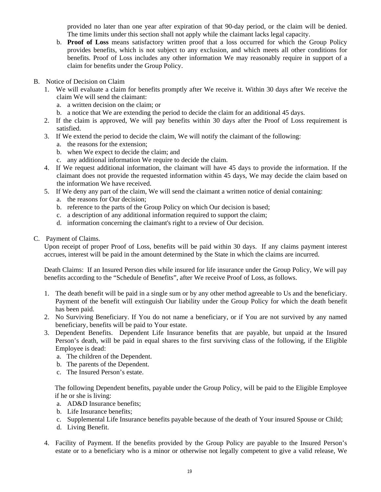provided no later than one year after expiration of that 90-day period, or the claim will be denied. The time limits under this section shall not apply while the claimant lacks legal capacity.

- b. **Proof of Loss** means satisfactory written proof that a loss occurred for which the Group Policy provides benefits, which is not subject to any exclusion, and which meets all other conditions for benefits. Proof of Loss includes any other information We may reasonably require in support of a claim for benefits under the Group Policy.
- B. Notice of Decision on Claim
	- 1. We will evaluate a claim for benefits promptly after We receive it. Within 30 days after We receive the claim We will send the claimant:
		- a. a written decision on the claim; or
		- b. a notice that We are extending the period to decide the claim for an additional 45 days.
	- 2. If the claim is approved, We will pay benefits within 30 days after the Proof of Loss requirement is satisfied.
	- 3. If We extend the period to decide the claim, We will notify the claimant of the following:
		- a. the reasons for the extension;
		- b. when We expect to decide the claim; and
		- c. any additional information We require to decide the claim.
	- 4. If We request additional information, the claimant will have 45 days to provide the information. If the claimant does not provide the requested information within 45 days, We may decide the claim based on the information We have received.
	- 5. If We deny any part of the claim, We will send the claimant a written notice of denial containing:
		- a. the reasons for Our decision;
		- b. reference to the parts of the Group Policy on which Our decision is based;
		- c. a description of any additional information required to support the claim;
		- d. information concerning the claimant's right to a review of Our decision.

### C. Payment of Claims.

Upon receipt of proper Proof of Loss, benefits will be paid within 30 days. If any claims payment interest accrues, interest will be paid in the amount determined by the State in which the claims are incurred.

Death Claims: If an Insured Person dies while insured for life insurance under the Group Policy, We will pay benefits according to the "Schedule of Benefits", after We receive Proof of Loss, as follows.

- 1. The death benefit will be paid in a single sum or by any other method agreeable to Us and the beneficiary. Payment of the benefit will extinguish Our liability under the Group Policy for which the death benefit has been paid.
- 2. No Surviving Beneficiary. If You do not name a beneficiary, or if You are not survived by any named beneficiary, benefits will be paid to Your estate.
- 3. Dependent Benefits. Dependent Life Insurance benefits that are payable, but unpaid at the Insured Person's death, will be paid in equal shares to the first surviving class of the following, if the Eligible Employee is dead:
	- a. The children of the Dependent.
	- b. The parents of the Dependent.
	- c. The Insured Person's estate.

 The following Dependent benefits, payable under the Group Policy, will be paid to the Eligible Employee if he or she is living:

- a. AD&D Insurance benefits;
- b. Life Insurance benefits;
- c. Supplemental Life Insurance benefits payable because of the death of Your insured Spouse or Child;
- d. Living Benefit.
- 4. Facility of Payment. If the benefits provided by the Group Policy are payable to the Insured Person's estate or to a beneficiary who is a minor or otherwise not legally competent to give a valid release, We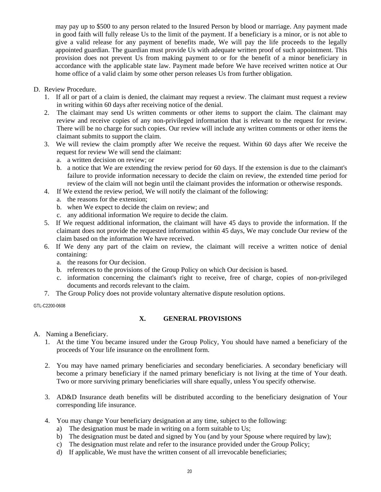may pay up to \$500 to any person related to the Insured Person by blood or marriage. Any payment made in good faith will fully release Us to the limit of the payment. If a beneficiary is a minor, or is not able to give a valid release for any payment of benefits made, We will pay the life proceeds to the legally appointed guardian. The guardian must provide Us with adequate written proof of such appointment. This provision does not prevent Us from making payment to or for the benefit of a minor beneficiary in accordance with the applicable state law. Payment made before We have received written notice at Our home office of a valid claim by some other person releases Us from further obligation.

- D. Review Procedure.
	- 1. If all or part of a claim is denied, the claimant may request a review. The claimant must request a review in writing within 60 days after receiving notice of the denial.
	- 2. The claimant may send Us written comments or other items to support the claim. The claimant may review and receive copies of any non-privileged information that is relevant to the request for review. There will be no charge for such copies. Our review will include any written comments or other items the claimant submits to support the claim.
	- 3. We will review the claim promptly after We receive the request. Within 60 days after We receive the request for review We will send the claimant:
		- a. a written decision on review; or
		- b. a notice that We are extending the review period for 60 days. If the extension is due to the claimant's failure to provide information necessary to decide the claim on review, the extended time period for review of the claim will not begin until the claimant provides the information or otherwise responds.
	- 4. If We extend the review period, We will notify the claimant of the following:
		- a. the reasons for the extension;
		- b. when We expect to decide the claim on review; and
		- c. any additional information We require to decide the claim.
	- 5. If We request additional information, the claimant will have 45 days to provide the information. If the claimant does not provide the requested information within 45 days, We may conclude Our review of the claim based on the information We have received.
	- 6. If We deny any part of the claim on review, the claimant will receive a written notice of denial containing:
		- a. the reasons for Our decision.
		- b. references to the provisions of the Group Policy on which Our decision is based.
		- c. information concerning the claimant's right to receive, free of charge, copies of non-privileged documents and records relevant to the claim.
	- 7. The Group Policy does not provide voluntary alternative dispute resolution options.

GTL-C2200-0608

# **X. GENERAL PROVISIONS**

- A. Naming a Beneficiary.
	- 1. At the time You became insured under the Group Policy, You should have named a beneficiary of the proceeds of Your life insurance on the enrollment form.
	- 2. You may have named primary beneficiaries and secondary beneficiaries. A secondary beneficiary will become a primary beneficiary if the named primary beneficiary is not living at the time of Your death. Two or more surviving primary beneficiaries will share equally, unless You specify otherwise.
	- 3. AD&D Insurance death benefits will be distributed according to the beneficiary designation of Your corresponding life insurance.
	- 4. You may change Your beneficiary designation at any time, subject to the following:
		- a) The designation must be made in writing on a form suitable to Us;
		- b) The designation must be dated and signed by You (and by your Spouse where required by law);
		- c) The designation must relate and refer to the insurance provided under the Group Policy;
		- d) If applicable, We must have the written consent of all irrevocable beneficiaries;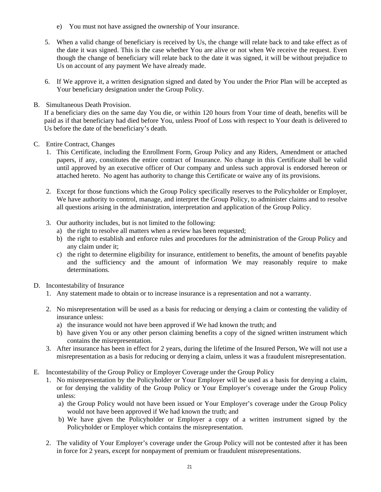- e) You must not have assigned the ownership of Your insurance.
- 5. When a valid change of beneficiary is received by Us, the change will relate back to and take effect as of the date it was signed. This is the case whether You are alive or not when We receive the request. Even though the change of beneficiary will relate back to the date it was signed, it will be without prejudice to Us on account of any payment We have already made.
- 6. If We approve it, a written designation signed and dated by You under the Prior Plan will be accepted as Your beneficiary designation under the Group Policy.
- B. Simultaneous Death Provision.

If a beneficiary dies on the same day You die, or within 120 hours from Your time of death, benefits will be paid as if that beneficiary had died before You, unless Proof of Loss with respect to Your death is delivered to Us before the date of the beneficiary's death.

- C. Entire Contract, Changes
	- 1. This Certificate, including the Enrollment Form, Group Policy and any Riders, Amendment or attached papers, if any, constitutes the entire contract of Insurance. No change in this Certificate shall be valid until approved by an executive officer of Our company and unless such approval is endorsed hereon or attached hereto. No agent has authority to change this Certificate or waive any of its provisions.
	- 2. Except for those functions which the Group Policy specifically reserves to the Policyholder or Employer, We have authority to control, manage, and interpret the Group Policy, to administer claims and to resolve all questions arising in the administration, interpretation and application of the Group Policy.
	- 3. Our authority includes, but is not limited to the following:
		- a) the right to resolve all matters when a review has been requested;
		- b) the right to establish and enforce rules and procedures for the administration of the Group Policy and any claim under it;
		- c) the right to determine eligibility for insurance, entitlement to benefits, the amount of benefits payable and the sufficiency and the amount of information We may reasonably require to make determinations.
- D. Incontestability of Insurance
	- 1. Any statement made to obtain or to increase insurance is a representation and not a warranty.
	- 2. No misrepresentation will be used as a basis for reducing or denying a claim or contesting the validity of insurance unless:
		- a) the insurance would not have been approved if We had known the truth; and
		- b) have given You or any other person claiming benefits a copy of the signed written instrument which contains the misrepresentation.
	- 3. After insurance has been in effect for 2 years, during the lifetime of the Insured Person, We will not use a misrepresentation as a basis for reducing or denying a claim, unless it was a fraudulent misrepresentation.
- E. Incontestability of the Group Policy or Employer Coverage under the Group Policy
	- 1. No misrepresentation by the Policyholder or Your Employer will be used as a basis for denying a claim, or for denying the validity of the Group Policy or Your Employer's coverage under the Group Policy unless:
		- a) the Group Policy would not have been issued or Your Employer's coverage under the Group Policy would not have been approved if We had known the truth; and
		- b) We have given the Policyholder or Employer a copy of a written instrument signed by the Policyholder or Employer which contains the misrepresentation.
	- 2. The validity of Your Employer's coverage under the Group Policy will not be contested after it has been in force for 2 years, except for nonpayment of premium or fraudulent misrepresentations.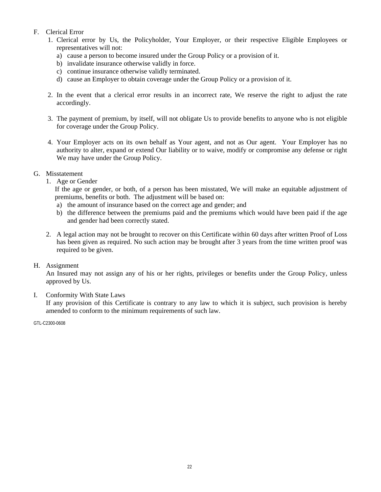# F. Clerical Error

- 1. Clerical error by Us, the Policyholder, Your Employer, or their respective Eligible Employees or representatives will not:
	- a) cause a person to become insured under the Group Policy or a provision of it.
	- b) invalidate insurance otherwise validly in force.
	- c) continue insurance otherwise validly terminated.
	- d) cause an Employer to obtain coverage under the Group Policy or a provision of it.
- 2. In the event that a clerical error results in an incorrect rate, We reserve the right to adjust the rate accordingly.
- 3. The payment of premium, by itself, will not obligate Us to provide benefits to anyone who is not eligible for coverage under the Group Policy.
- 4. Your Employer acts on its own behalf as Your agent, and not as Our agent. Your Employer has no authority to alter, expand or extend Our liability or to waive, modify or compromise any defense or right We may have under the Group Policy.
- G. Misstatement
	- 1. Age or Gender

If the age or gender, or both, of a person has been misstated, We will make an equitable adjustment of premiums, benefits or both. The adjustment will be based on:

- a) the amount of insurance based on the correct age and gender; and
- b) the difference between the premiums paid and the premiums which would have been paid if the age and gender had been correctly stated.
- 2. A legal action may not be brought to recover on this Certificate within 60 days after written Proof of Loss has been given as required. No such action may be brought after 3 years from the time written proof was required to be given.

# H. Assignment

An Insured may not assign any of his or her rights, privileges or benefits under the Group Policy, unless approved by Us.

I. Conformity With State Laws

If any provision of this Certificate is contrary to any law to which it is subject, such provision is hereby amended to conform to the minimum requirements of such law.

GTL-C2300-0608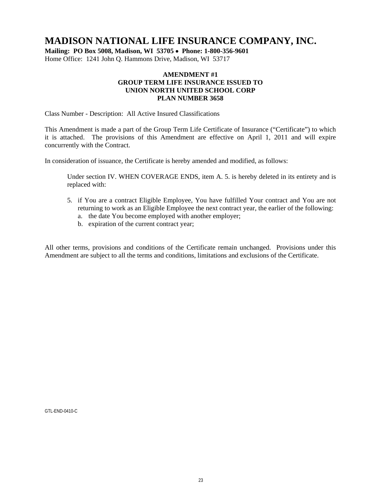# **MADISON NATIONAL LIFE INSURANCE COMPANY, INC.**

**Mailing: PO Box 5008, Madison, WI 53705 Phone: 1-800-356-9601**  Home Office: 1241 John Q. Hammons Drive, Madison, WI 53717

### **AMENDMENT #1 GROUP TERM LIFE INSURANCE ISSUED TO UNION NORTH UNITED SCHOOL CORP PLAN NUMBER 3658**

Class Number - Description: All Active Insured Classifications

This Amendment is made a part of the Group Term Life Certificate of Insurance ("Certificate") to which it is attached. The provisions of this Amendment are effective on April 1, 2011 and will expire concurrently with the Contract.

In consideration of issuance, the Certificate is hereby amended and modified, as follows:

Under section IV. WHEN COVERAGE ENDS, item A. 5. is hereby deleted in its entirety and is replaced with:

- 5. if You are a contract Eligible Employee, You have fulfilled Your contract and You are not returning to work as an Eligible Employee the next contract year, the earlier of the following:
	- a. the date You become employed with another employer;
	- b. expiration of the current contract year;

All other terms, provisions and conditions of the Certificate remain unchanged. Provisions under this Amendment are subject to all the terms and conditions, limitations and exclusions of the Certificate.

GTL-END-0410-C